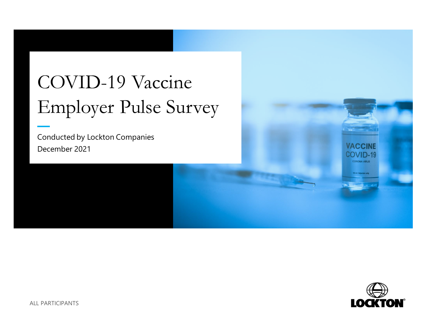# COVID-19 Vaccine Employer Pulse Survey

Conducted by Lockton Companies December 2021



**VACCINE** COVID-19 **CORONA VIRUS**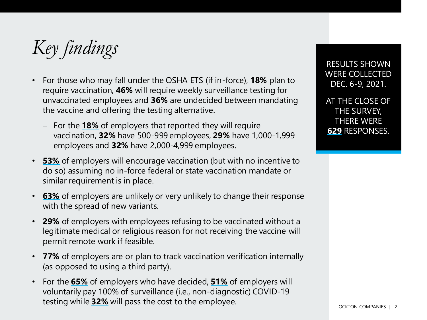*Key findings*

- For those who may fall under the OSHA ETS (if in-force), **18%** plan to require vaccination, **46%** will require weekly surveillance testing for unvaccinated employees and **36%** are undecided between mandating the vaccine and offering the testing alternative.
	- − For the **18%** of employers that reported they will require vaccination, **32%** have 500-999 employees, **29%** have 1,000-1,999 employees and **32%** have 2,000-4,999 employees.
- **53%** of employers will encourage vaccination (but with no incentive to do so) assuming no in-force federal or state vaccination mandate or similar requirement is in place.
- **63%** of employers are unlikely or very unlikely to change their response with the spread of new variants.
- **29%** of employers with employees refusing to be vaccinated without a legitimate medical or religious reason for not receiving the vaccine will permit remote work if feasible.
- **77%** of employers are or plan to track vaccination verification internally (as opposed to using a third party).
- For the **65%** of employers who have decided, **51%** of employers will voluntarily pay 100% of surveillance (i.e., non-diagnostic) COVID-19 testing while **32%** will pass the cost to the employee.

RESULTS SHOWN WERE COLLECTED DEC. 6-9, 2021.

AT THE CLOSE OF THE SURVEY, THERE WERE **629** RESPONSES.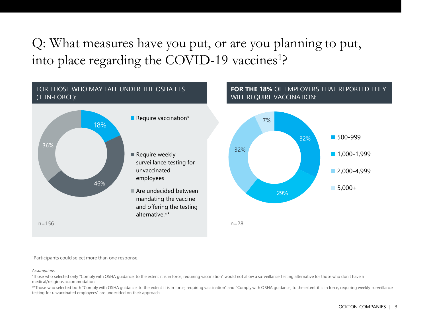#### Q: What measures have you put, or are you planning to put, into place regarding the COVID-19 vaccines<sup>1</sup>?



<sup>1</sup>Participants could select more than one response.

#### *Assumptions:*

\*Those who selected only "Comply with OSHA guidance, to the extent it is in force, requiring vaccination" would not allow a surveillance testing alternative for those who don't have a medical/religious accommodation.

\*\*Those who selected both "Comply with OSHA guidance, to the extent it is in force, requiring vaccination" and "Comply with OSHA guidance, to the extent it is in force, requiring weekly surveillance testing for unvaccinated employees" are undecided on their approach.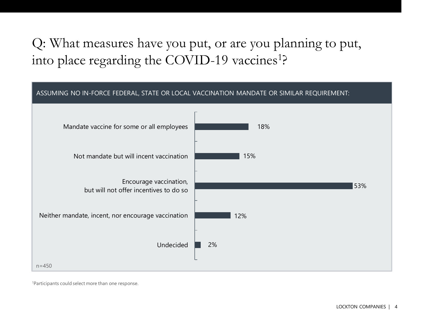### Q: What measures have you put, or are you planning to put, into place regarding the COVID-19 vaccines<sup>1</sup>?



1Participants could select more than one response.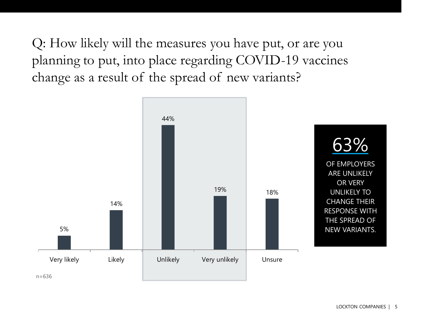Q: How likely will the measures you have put, or are you planning to put, into place regarding COVID-19 vaccines change as a result of the spread of new variants?

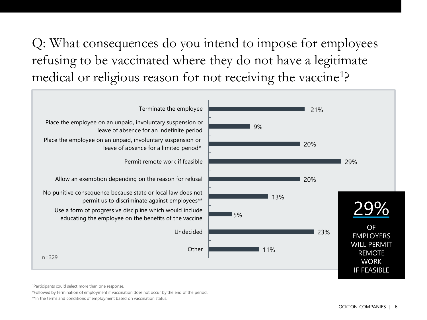Q: What consequences do you intend to impose for employees refusing to be vaccinated where they do not have a legitimate medical or religious reason for not receiving the vaccine<sup>1</sup>?



<sup>1</sup>Participants could select more than one response.

\*Followed by termination of employment if vaccination does not occur by the end of the period.

\*\*In the terms and conditions of employment based on vaccination status.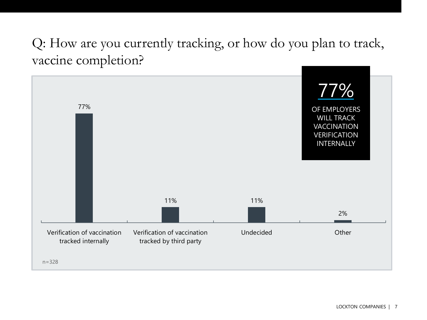#### Q: How are you currently tracking, or how do you plan to track, vaccine completion?

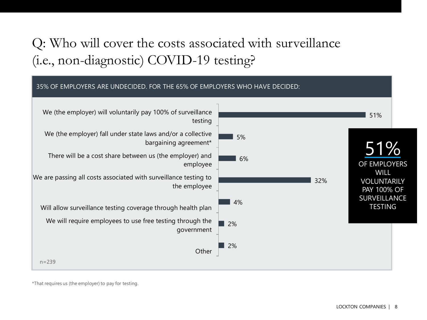## Q: Who will cover the costs associated with surveillance (i.e., non-diagnostic) COVID-19 testing?



\*That requires us (the employer) to pay for testing.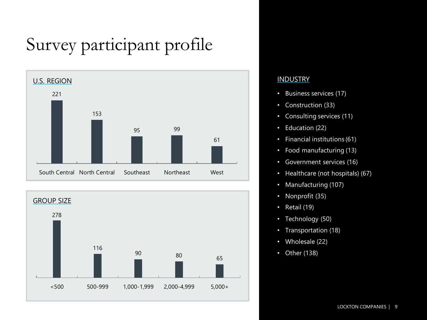## Survey participant profile





#### **INDUSTRY**

- Business services (17)
- Construction (33)
- Consulting services (11)
- Education (22)
- Financial institutions (61)
- Food manufacturing (13)
- Government services (16)
- Healthcare (not hospitals) (67)
- Manufacturing (107)
- Nonprofit (35)
- Retail (19)
- Technology (50)
- Transportation (18)
- Wholesale (22)
- Other (138)